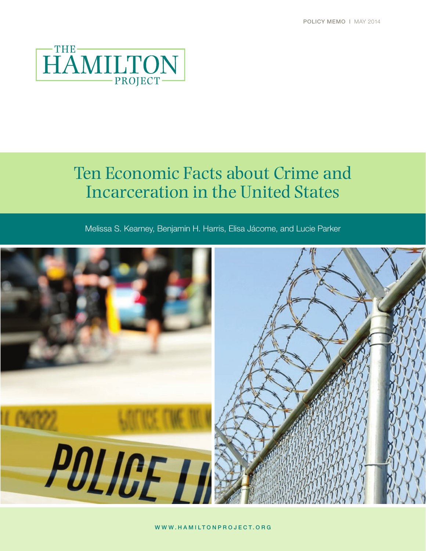

# Ten Economic Facts about Crime and Incarceration in the United States

Melissa S. Kearney, Benjamin H. Harris, Elisa Jácome, and Lucie Parker

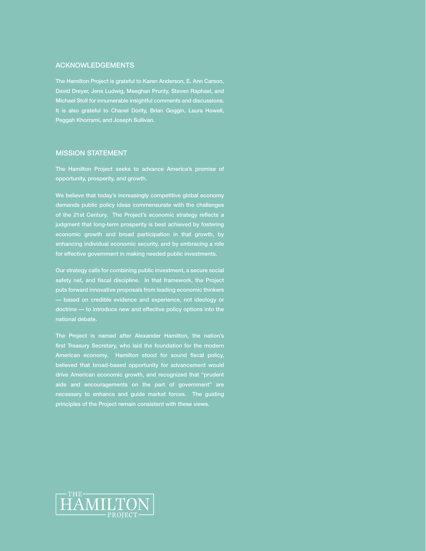### ACKNOWLEDGEMENTS

The Hamilton Project is grateful to Karen Anderson, E. Ann Carson, David Dreyer, Jens Ludwig, Meeghan Prunty, Steven Raphael, and Michael Stoll for innumerable insightful comments and discussions. It is also grateful to Chanel Dority, Brian Goggin, Laura Howell, Peggah Khorrami, and Joseph Sullivan.

## MISSION STATEMENT

The Hamilton Project seeks to advance America's promise of opportunity, prosperity, and growth.

We believe that today's increasingly competitive global economy demands public policy ideas commensurate with the challenges of the 21st Century. The Project's economic strategy reflects a judgment that long-term prosperity is best achieved by fostering economic growth and broad participation in that growth, by enhancing individual economic security, and by embracing a role for effective government in making needed public investments.

Our strategy calls for combining public investment, a secure social safety net, and fiscal discipline. In that framework, the Project puts forward innovative proposals from leading economic thinkers — based on credible evidence and experience, not ideology or doctrine — to introduce new and effective policy options into the

The Project is named after Alexander Hamilton, the nation's first Treasury Secretary, who laid the foundation for the modern American economy. Hamilton stood for sound fiscal policy, believed that broad-based opportunity for advancement would drive American economic growth, and recognized that "prudent aids and encouragements on the part of government" are necessary to enhance and guide market forces. The guiding principles of the Project remain consistent with these views.

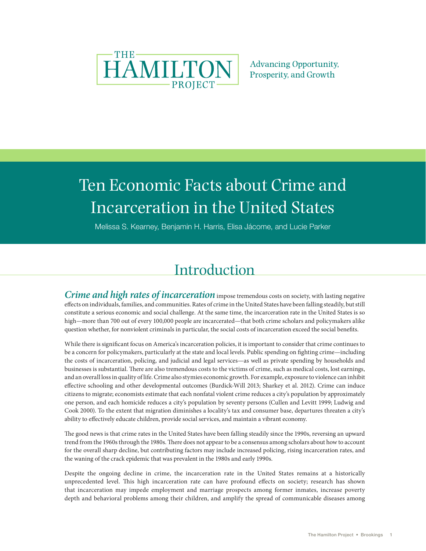

**Advancing Opportunity,** Prosperity, and Growth

# Ten Economic Facts about Crime and Incarceration in the United States

Melissa S. Kearney, Benjamin H. Harris, Elisa Jácome, and Lucie Parker

# Introduction

*Crime and high rates of incarceration* impose tremendous costs on society, with lasting negative effects on individuals, families, and communities. Rates of crime in the United States have been falling steadily, but still constitute a serious economic and social challenge. At the same time, the incarceration rate in the United States is so high—more than 700 out of every 100,000 people are incarcerated—that both crime scholars and policymakers alike question whether, for nonviolent criminals in particular, the social costs of incarceration exceed the social benefits.

While there is significant focus on America's incarceration policies, it is important to consider that crime continues to be a concern for policymakers, particularly at the state and local levels. Public spending on fighting crime—including the costs of incarceration, policing, and judicial and legal services—as well as private spending by households and businesses is substantial. There are also tremendous costs to the victims of crime, such as medical costs, lost earnings, and an overall loss in quality of life. Crime also stymies economic growth. For example, exposure to violence can inhibit effective schooling and other developmental outcomes (Burdick-Will 2013; Sharkey et al. 2012). Crime can induce citizens to migrate; economists estimate that each nonfatal violent crime reduces a city's population by approximately one person, and each homicide reduces a city's population by seventy persons (Cullen and Levitt 1999; Ludwig and Cook 2000). To the extent that migration diminishes a locality's tax and consumer base, departures threaten a city's ability to effectively educate children, provide social services, and maintain a vibrant economy.

The good news is that crime rates in the United States have been falling steadily since the 1990s, reversing an upward trend from the 1960s through the 1980s. There does not appear to be a consensus among scholars about how to account for the overall sharp decline, but contributing factors may include increased policing, rising incarceration rates, and the waning of the crack epidemic that was prevalent in the 1980s and early 1990s.

Despite the ongoing decline in crime, the incarceration rate in the United States remains at a historically unprecedented level. This high incarceration rate can have profound effects on society; research has shown that incarceration may impede employment and marriage prospects among former inmates, increase poverty depth and behavioral problems among their children, and amplify the spread of communicable diseases among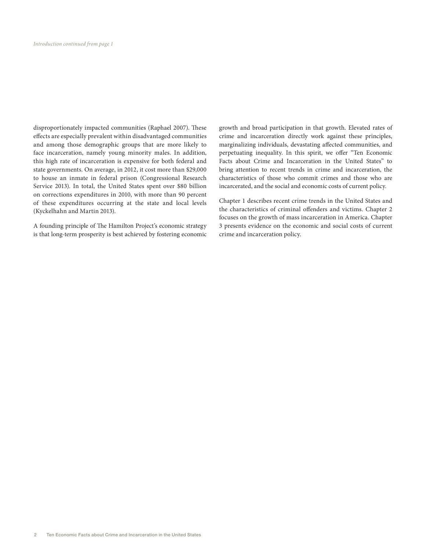disproportionately impacted communities (Raphael 2007). These effects are especially prevalent within disadvantaged communities and among those demographic groups that are more likely to face incarceration, namely young minority males. In addition, this high rate of incarceration is expensive for both federal and state governments. On average, in 2012, it cost more than \$29,000 to house an inmate in federal prison (Congressional Research Service 2013). In total, the United States spent over \$80 billion on corrections expenditures in 2010, with more than 90 percent of these expenditures occurring at the state and local levels (Kyckelhahn and Martin 2013).

A founding principle of The Hamilton Project's economic strategy is that long-term prosperity is best achieved by fostering economic growth and broad participation in that growth. Elevated rates of crime and incarceration directly work against these principles, marginalizing individuals, devastating affected communities, and perpetuating inequality. In this spirit, we offer "Ten Economic Facts about Crime and Incarceration in the United States" to bring attention to recent trends in crime and incarceration, the characteristics of those who commit crimes and those who are incarcerated, and the social and economic costs of current policy.

Chapter 1 describes recent crime trends in the United States and the characteristics of criminal offenders and victims. Chapter 2 focuses on the growth of mass incarceration in America. Chapter 3 presents evidence on the economic and social costs of current crime and incarceration policy.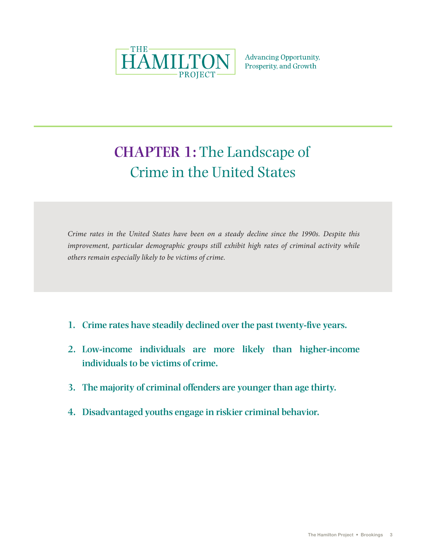

**Advancing Opportunity,** Prosperity, and Growth

# **CHAPTER 1:** The Landscape of Crime in the United States

*Crime rates in the United States have been on a steady decline since the 1990s. Despite this improvement, particular demographic groups still exhibit high rates of criminal activity while others remain especially likely to be victims of crime.*

- **1. Crime rates have steadily declined over the past twenty-five years.**
- **2. Low-income individuals are more likely than higher-income individuals to be victims of crime.**
- **3. The majority of criminal offenders are younger than age thirty.**
- **4. Disadvantaged youths engage in riskier criminal behavior.**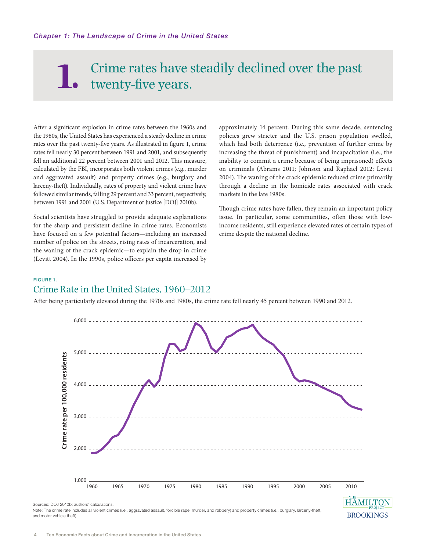# Crime rates have steadily declined over the past twenty-five years. **1.**

After a significant explosion in crime rates between the 1960s and the 1980s, the United States has experienced a steady decline in crime rates over the past twenty-five years. As illustrated in figure 1, crime rates fell nearly 30 percent between 1991 and 2001, and subsequently fell an additional 22 percent between 2001 and 2012. This measure, calculated by the FBI, incorporates both violent crimes (e.g., murder and aggravated assault) and property crimes (e.g., burglary and larceny-theft). Individually, rates of property and violent crime have followed similar trends, falling 29 percent and 33 percent, respectively, between 1991 and 2001 (U.S. Department of Justice [DOJ] 2010b).

Social scientists have struggled to provide adequate explanations for the sharp and persistent decline in crime rates. Economists have focused on a few potential factors—including an increased number of police on the streets, rising rates of incarceration, and the waning of the crack epidemic—to explain the drop in crime (Levitt 2004). In the 1990s, police officers per capita increased by approximately 14 percent. During this same decade, sentencing policies grew stricter and the U.S. prison population swelled, which had both deterrence (i.e., prevention of further crime by increasing the threat of punishment) and incapacitation (i.e., the inability to commit a crime because of being imprisoned) effects on criminals (Abrams 2011; Johnson and Raphael 2012; Levitt 2004). The waning of the crack epidemic reduced crime primarily through a decline in the homicide rates associated with crack markets in the late 1980s.

Though crime rates have fallen, they remain an important policy issue. In particular, some communities, often those with lowincome residents, still experience elevated rates of certain types of crime despite the national decline.

**BROOKINGS** 

# FIGURE 1. Crime Rate in the United States, 1960–2012

After being particularly elevated during the 1970s and 1980s, the crime rate fell nearly 45 percent between 1990 and 2012.



Note: The crime rate includes all violent crimes (i.e., aggravated assault, forcible rape, murder, and robbery) and property crimes (i.e., burglary, larceny-theft, and motor vehicle theft).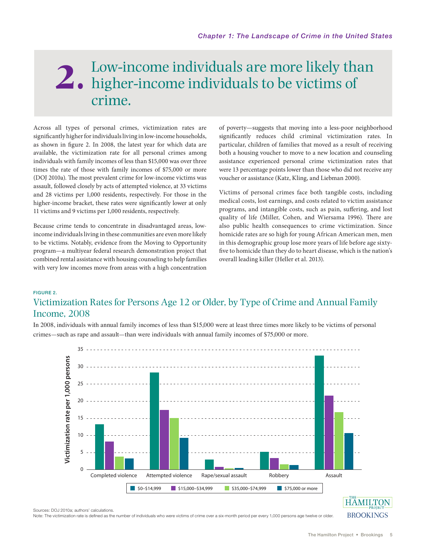# Low-income individuals are more likely than higher-income individuals to be victims of **2.** crime.

Across all types of personal crimes, victimization rates are significantly higher for individuals living in low-income households, as shown in figure 2. In 2008, the latest year for which data are available, the victimization rate for all personal crimes among individuals with family incomes of less than \$15,000 was over three times the rate of those with family incomes of \$75,000 or more (DOJ 2010a). The most prevalent crime for low-income victims was assault, followed closely by acts of attempted violence, at 33 victims and 28 victims per 1,000 residents, respectively. For those in the higher-income bracket, these rates were significantly lower at only 11 victims and 9 victims per 1,000 residents, respectively.

Because crime tends to concentrate in disadvantaged areas, lowincome individuals living in these communities are even more likely to be victims. Notably, evidence from the Moving to Opportunity program—a multiyear federal research demonstration project that combined rental assistance with housing counseling to help families with very low incomes move from areas with a high concentration of poverty—suggests that moving into a less-poor neighborhood significantly reduces child criminal victimization rates. In particular, children of families that moved as a result of receiving both a housing voucher to move to a new location and counseling assistance experienced personal crime victimization rates that were 13 percentage points lower than those who did not receive any voucher or assistance (Katz, Kling, and Liebman 2000).

Victims of personal crimes face both tangible costs, including medical costs, lost earnings, and costs related to victim assistance programs, and intangible costs, such as pain, suffering, and lost quality of life (Miller, Cohen, and Wiersama 1996). There are also public health consequences to crime victimization. Since homicide rates are so high for young African American men, men in this demographic group lose more years of life before age sixtyfive to homicide than they do to heart disease, which is the nation's overall leading killer (Heller et al. 2013).

### FIGURE 2.

# Victimization Rates for Persons Age 12 or Older, by Type of Crime and Annual Family Income, 2008

In 2008, individuals with annual family incomes of less than \$15,000 were at least three times more likely to be victims of personal crimes—such as rape and assault—than were individuals with annual family incomes of \$75,000 or more.



Sources: DOJ 2010a; authors' calculations.

Note: The victimization rate is defined as the number of individuals who were victims of crime over a six-month period per every 1,000 persons age twelve or older.

**BROOKINGS**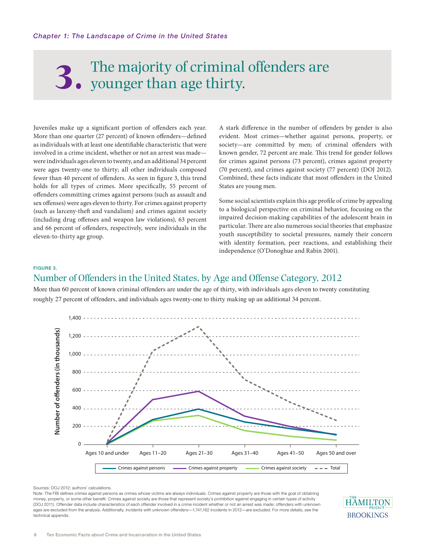# The majority of criminal offenders are younger than age thirty.

Juveniles make up a significant portion of offenders each year. More than one quarter (27 percent) of known offenders—defined as individuals with at least one identifiable characteristic that were involved in a crime incident, whether or not an arrest was made were individuals ages eleven to twenty, and an additional 34 percent were ages twenty-one to thirty; all other individuals composed fewer than 40 percent of offenders. As seen in figure 3, this trend holds for all types of crimes. More specifically, 55 percent of offenders committing crimes against persons (such as assault and sex offenses) were ages eleven to thirty. For crimes against property (such as larceny-theft and vandalism) and crimes against society (including drug offenses and weapon law violations), 63 percent and 66 percent of offenders, respectively, were individuals in the eleven-to-thirty age group.

A stark difference in the number of offenders by gender is also evident. Most crimes—whether against persons, property, or society—are committed by men; of criminal offenders with known gender, 72 percent are male. This trend for gender follows for crimes against persons (73 percent), crimes against property (70 percent), and crimes against society (77 percent) (DOJ 2012). Combined, these facts indicate that most offenders in the United States are young men.

Some social scientists explain this age profile of crime by appealing to a biological perspective on criminal behavior, focusing on the impaired decision-making capabilities of the adolescent brain in particular. There are also numerous social theories that emphasize youth susceptibility to societal pressures, namely their concern with identity formation, peer reactions, and establishing their independence (O'Donoghue and Rabin 2001).

#### FIGURE 3.

# Number of Offenders in the United States, by Age and Offense Category, 2012

More than 60 percent of known criminal offenders are under the age of thirty, with individuals ages eleven to twenty constituting roughly 27 percent of offenders, and individuals ages twenty-one to thirty making up an additional 34 percent.



Sources: DOJ 2012; authors' calculations.

Note: The FBI defines crimes against persons as crimes whose victims are always individuals. Crimes against property are those with the goal of obtaining money, property, or some other benefit. Crimes against society are those that represent society's prohibition against engaging in certain types of activity (DOJ 2011). Offender data include characteristics of each offender involved in a crime incident whether or not an arrest was made; offenders with unknown ages are excluded from the analysis. Additionally, incidents with unknown offenders—1,741,162 incidents in 2012—are excluded. For more details, see the technical appendix.

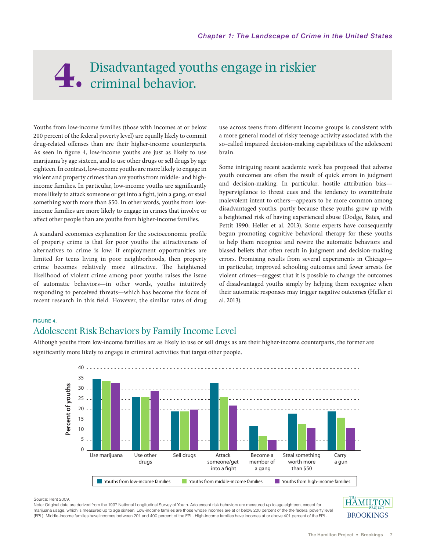# Disadvantaged youths engage in riskier **4.** criminal behavior.

Youths from low-income families (those with incomes at or below 200 percent of the federal poverty level) are equally likely to commit drug-related offenses than are their higher-income counterparts. As seen in figure 4, low-income youths are just as likely to use marijuana by age sixteen, and to use other drugs or sell drugs by age eighteen. In contrast, low-income youths are more likely to engage in violent and property crimes than are youths from middle- and highincome families. In particular, low-income youths are significantly more likely to attack someone or get into a fight, join a gang, or steal something worth more than \$50. In other words, youths from lowincome families are more likely to engage in crimes that involve or affect other people than are youths from higher-income families.

A standard economics explanation for the socioeconomic profile of property crime is that for poor youths the attractiveness of alternatives to crime is low: if employment opportunities are limited for teens living in poor neighborhoods, then property crime becomes relatively more attractive. The heightened likelihood of violent crime among poor youths raises the issue of automatic behaviors—in other words, youths intuitively responding to perceived threats—which has become the focus of recent research in this field. However, the similar rates of drug

use across teens from different income groups is consistent with a more general model of risky teenage activity associated with the so-called impaired decision-making capabilities of the adolescent brain.

Some intriguing recent academic work has proposed that adverse youth outcomes are often the result of quick errors in judgment and decision-making. In particular, hostile attribution bias hypervigilance to threat cues and the tendency to overattribute malevolent intent to others—appears to be more common among disadvantaged youths, partly because these youths grow up with a heightened risk of having experienced abuse (Dodge, Bates, and Pettit 1990; Heller et al. 2013). Some experts have consequently begun promoting cognitive behavioral therapy for these youths to help them recognize and rewire the automatic behaviors and biased beliefs that often result in judgment and decision-making errors. Promising results from several experiments in Chicago in particular, improved schooling outcomes and fewer arrests for violent crimes—suggest that it is possible to change the outcomes of disadvantaged youths simply by helping them recognize when their automatic responses may trigger negative outcomes (Heller et al. 2013).

# FIGURE 4.

# Adolescent Risk Behaviors by Family Income Level

Although youths from low-income families are as likely to use or sell drugs as are their higher-income counterparts, the former are significantly more likely to engage in criminal activities that target other people.



Source: Kent 2009.

Note: Original data are derived from the 1997 National Longitudinal Survey of Youth. Adolescent risk behaviors are measured up to age eighteen, except for marijuana usage, which is measured up to age sixteen. Low-income families are those whose incomes are at or below 200 percent of the the federal poverty level (FPL). Middle-income families have incomes between 201 and 400 percent of the FPL. High-income families have incomes at or above 401 percent of the FPL.

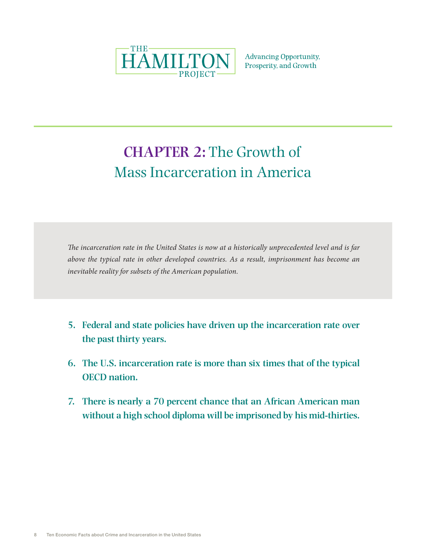

**Advancing Opportunity,** Prosperity, and Growth

# **CHAPTER 2:** The Growth of Mass Incarceration in America

*The incarceration rate in the United States is now at a historically unprecedented level and is far above the typical rate in other developed countries. As a result, imprisonment has become an inevitable reality for subsets of the American population.* 

- **5. Federal and state policies have driven up the incarceration rate over the past thirty years.**
- **6. The U.S. incarceration rate is more than six times that of the typical OECD nation.**
- **7. There is nearly a 70 percent chance that an African American man without a high school diploma will be imprisoned by his mid-thirties.**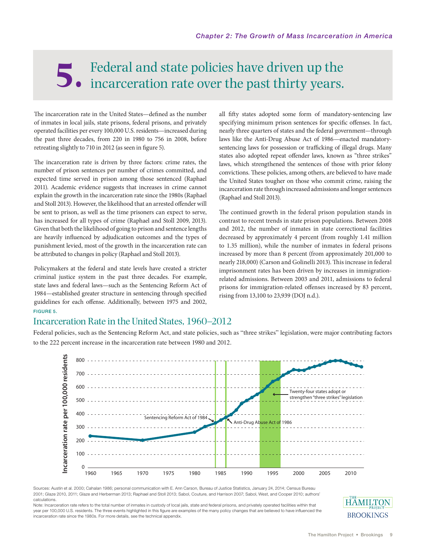# Federal and state policies have driven up the incarceration rate over the past thirty years.

The incarceration rate in the United States—defined as the number of inmates in local jails, state prisons, federal prisons, and privately operated facilities per every 100,000 U.S. residents—increased during the past three decades, from 220 in 1980 to 756 in 2008, before retreating slightly to 710 in 2012 (as seen in figure 5).

The incarceration rate is driven by three factors: crime rates, the number of prison sentences per number of crimes committed, and expected time served in prison among those sentenced (Raphael 2011). Academic evidence suggests that increases in crime cannot explain the growth in the incarceration rate since the 1980s (Raphael and Stoll 2013). However, the likelihood that an arrested offender will be sent to prison, as well as the time prisoners can expect to serve, has increased for all types of crime (Raphael and Stoll 2009, 2013). Given that both the likelihood of going to prison and sentence lengths are heavily influenced by adjudication outcomes and the types of punishment levied, most of the growth in the incarceration rate can be attributed to changes in policy (Raphael and Stoll 2013).

Policymakers at the federal and state levels have created a stricter criminal justice system in the past three decades. For example, state laws and federal laws—such as the Sentencing Reform Act of 1984—established greater structure in sentencing through specified guidelines for each offense. Additionally, between 1975 and 2002, FIGURE 5.

all fifty states adopted some form of mandatory-sentencing law specifying minimum prison sentences for specific offenses. In fact, nearly three quarters of states and the federal government—through laws like the Anti-Drug Abuse Act of 1986—enacted mandatorysentencing laws for possession or trafficking of illegal drugs. Many states also adopted repeat offender laws, known as "three strikes" laws, which strengthened the sentences of those with prior felony convictions. These policies, among others, are believed to have made the United States tougher on those who commit crime, raising the incarceration rate through increased admissions and longer sentences (Raphael and Stoll 2013).

The continued growth in the federal prison population stands in contrast to recent trends in state prison populations. Between 2008 and 2012, the number of inmates in state correctional facilities decreased by approximately 4 percent (from roughly 1.41 million to 1.35 million), while the number of inmates in federal prisons increased by more than 8 percent (from approximately 201,000 to nearly 218,000) (Carson and Golinelli 2013). This increase in federal imprisonment rates has been driven by increases in immigrationrelated admissions. Between 2003 and 2011, admissions to federal prisons for immigration-related offenses increased by 83 percent, rising from 13,100 to 23,939 (DOJ n.d.).

# Incarceration Rate in the United States, 1960–2012

Federal policies, such as the Sentencing Reform Act, and state policies, such as "three strikes" legislation, were major contributing factors to the 222 percent increase in the incarceration rate between 1980 and 2012.



Sources: Austin et al. 2000; Cahalan 1986; personal communication with E. Ann Carson, Bureau of Justice Statistics, January 24, 2014; Census Bureau 2001; Glaze 2010, 2011; Glaze and Herberman 2013; Raphael and Stoll 2013; Sabol, Couture, and Harrison 2007; Sabol, West, and Cooper 2010; authors' calculations.

Note: Incarceration rate refers to the total number of inmates in custody of local jails, state and federal prisons, and privately operated facilities within that year per 100,000 U.S. residents. The three events highlighted in this figure are examples of the many policy changes that are believed to have influenced the incarceration rate since the 1980s. For more details, see the technical appendix.

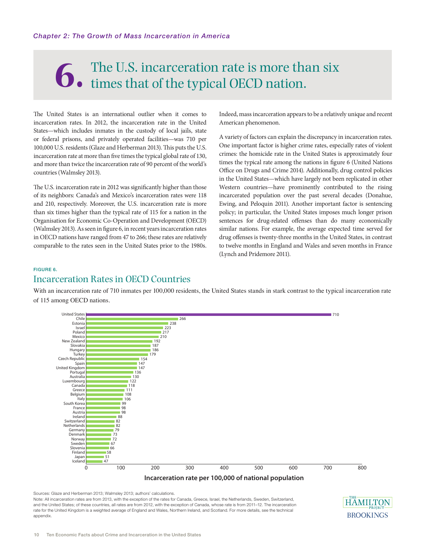# The U.S. incarceration rate is more than six times that of the typical OECD nation.

The United States is an international outlier when it comes to incarceration rates. In 2012, the incarceration rate in the United States—which includes inmates in the custody of local jails, state or federal prisons, and privately operated facilities—was 710 per 100,000 U.S. residents (Glaze and Herberman 2013). This puts the U.S. incarceration rate at more than five times the typical global rate of 130, and more than twice the incarceration rate of 90 percent of the world's countries (Walmsley 2013).

The U.S. incarceration rate in 2012 was significantly higher than those of its neighbors: Canada's and Mexico's incarceration rates were 118 and 210, respectively. Moreover, the U.S. incarceration rate is more than six times higher than the typical rate of 115 for a nation in the Organisation for Economic Co-Operation and Development (OECD) (Walmsley 2013). As seen in figure 6, in recent years incarceration rates in OECD nations have ranged from 47 to 266; these rates are relatively comparable to the rates seen in the United States prior to the 1980s. Indeed, mass incarceration appears to be a relatively unique and recent American phenomenon.

A variety of factors can explain the discrepancy in incarceration rates. One important factor is higher crime rates, especially rates of violent crimes: the homicide rate in the United States is approximately four times the typical rate among the nations in figure 6 (United Nations Office on Drugs and Crime 2014). Additionally, drug control policies in the United States—which have largely not been replicated in other Western countries—have prominently contributed to the rising incarcerated population over the past several decades (Donahue, Ewing, and Peloquin 2011). Another important factor is sentencing policy; in particular, the United States imposes much longer prison sentences for drug-related offenses than do many economically similar nations. For example, the average expected time served for drug offenses is twenty-three months in the United States, in contrast to twelve months in England and Wales and seven months in France (Lynch and Pridemore 2011).

#### FIGURE 6.

# Incarceration Rates in OECD Countries

With an incarceration rate of 710 inmates per 100,000 residents, the United States stands in stark contrast to the typical incarceration rate of 115 among OECD nations.



Sources: Glaze and Herberman 2013; Walmsley 2013; authors' calculations.

Note: All incarceration rates are from 2013, with the exception of the rates for Canada, Greece, Israel, the Netherlands, Sweden, Switzerland, and the United States; of these countries, all rates are from 2012, with the exception of Canada, whose rate is from 2011–12. The incarceration rate for the United Kingdom is a weighted average of England and Wales, Northern Ireland, and Scotland. For more details, see the technical appendix.

**HAM BROOKINGS**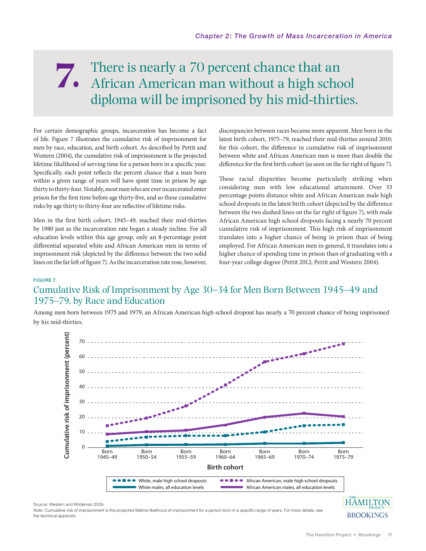# There is nearly a 70 percent chance that an There is nearly a 70 percent chance that an African American man without a high school diploma will be imprisoned by his mid-thirties.

For certain demographic groups, incarceration has become a fact of life. Figure 7 illustrates the cumulative risk of imprisonment for men by race, education, and birth cohort. As described by Pettit and Western (2004), the cumulative risk of imprisonment is the projected lifetime likelihood of serving time for a person born in a specific year. Specifically, each point reflects the percent chance that a man born within a given range of years will have spent time in prison by age thirty to thirty-four. Notably, most men who are ever incarcerated enter prison for the first time before age thirty-five, and so these cumulative risks by age thirty to thirty-four are reflective of lifetime risks.

Men in the first birth cohort, 1945–49, reached their mid-thirties by 1980 just as the incarceration rate began a steady incline. For all education levels within this age group, only an 8-percentage point differential separated white and African American men in terms of imprisonment risk (depicted by the difference between the two solid lines on the far left of figure 7). As the incarceration rate rose, however,

discrepancies between races became more apparent. Men born in the latest birth cohort, 1975–79, reached their mid-thirties around 2010; for this cohort, the difference in cumulative risk of imprisonment between white and African American men is more than double the difference for the first birth cohort (as seen on the far right of figure 7).

These racial disparities become particularly striking when considering men with low educational attainment. Over 53 percentage points distance white and African American male high school dropouts in the latest birth cohort (depicted by the difference between the two dashed lines on the far right of figure 7), with male African American high school dropouts facing a nearly 70 percent cumulative risk of imprisonment. This high risk of imprisonment translates into a higher chance of being in prison than of being employed. For African American men in general, it translates into a higher chance of spending time in prison than of graduating with a four-year college degree (Pettit 2012; Pettit and Western 2004).

#### FIGURE 7.

# Cumulative Risk of Imprisonment by Age 30–34 for Men Born Between 1945–49 and 1975–79, by Race and Education

Among men born between 1975 and 1979, an African American high school dropout has nearly a 70 percent chance of being imprisoned by his mid-thirties.



Source: Western and Wildeman 2009.

Note: Cumulative risk of imprisonment is the projected lifetime likelihood of imprisonment for a person born in a specific range of years. For more details, see the technical appendix.

**BROOKINGS**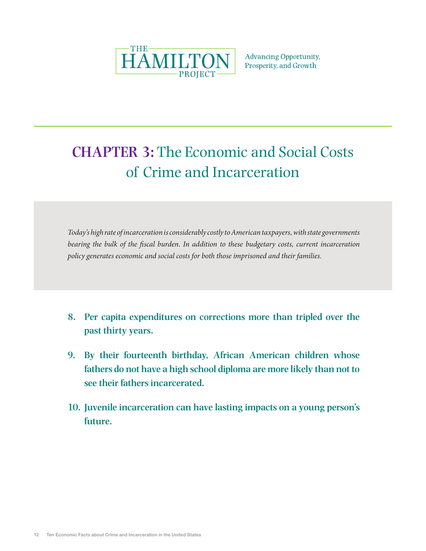

**Advancing Opportunity,** Prosperity, and Growth

# **CHAPTER 3:** The Economic and Social Costs of Crime and Incarceration

*Today's high rate of incarceration is considerably costly to American taxpayers, with state governments bearing the bulk of the fiscal burden. In addition to these budgetary costs, current incarceration policy generates economic and social costs for both those imprisoned and their families.*

- **8. Per capita expenditures on corrections more than tripled over the past thirty years.**
- **9. By their fourteenth birthday, African American children whose fathers do not have a high school diploma are more likely than not to see their fathers incarcerated.**
- **10. Juvenile incarceration can have lasting impacts on a young person's future.**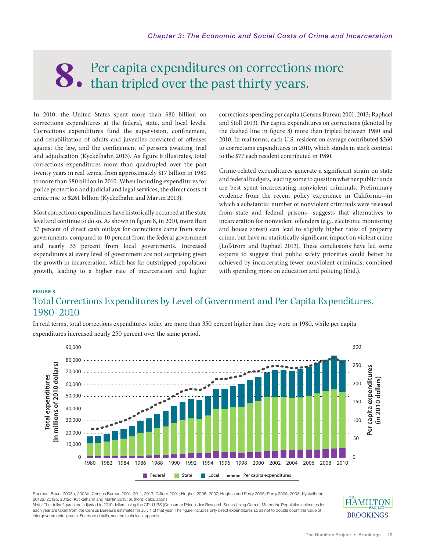# Per capita expenditures on corrections more than tripled over the past thirty years.

In 2010, the United States spent more than \$80 billion on corrections expenditures at the federal, state, and local levels. Corrections expenditures fund the supervision, confinement, and rehabilitation of adults and juveniles convicted of offenses against the law, and the confinement of persons awaiting trial and adjudication (Kyckelhahn 2013). As figure 8 illustrates, total corrections expenditures more than quadrupled over the past twenty years in real terms, from approximately \$17 billion in 1980 to more than \$80 billion in 2010. When including expenditures for police protection and judicial and legal services, the direct costs of crime rise to \$261 billion (Kyckelhahn and Martin 2013).

Most corrections expenditures have historically occurred at the state level and continue to do so. As shown in figure 8, in 2010, more than 57 percent of direct cash outlays for corrections came from state governments, compared to 10 percent from the federal government and nearly 33 percent from local governments. Increased expenditures at every level of government are not surprising given the growth in incarceration, which has far outstripped population growth, leading to a higher rate of incarceration and higher

corrections spending per capita (Census Bureau 2001, 2013; Raphael and Stoll 2013). Per capita expenditures on corrections (denoted by the dashed line in figure 8) more than tripled between 1980 and 2010. In real terms, each U.S. resident on average contributed \$260 to corrections expenditures in 2010, which stands in stark contrast to the \$77 each resident contributed in 1980.

Crime-related expenditures generate a significant strain on state and federal budgets, leading some to question whether public funds are best spent incarcerating nonviolent criminals. Preliminary evidence from the recent policy experience in California—in which a substantial number of nonviolent criminals were released from state and federal prisons—suggests that alternatives to incarceration for nonviolent offenders (e.g., electronic monitoring and house arrest) can lead to slightly higher rates of property crime, but have no statistically significant impact on violent crime (Lofstrom and Raphael 2013). These conclusions have led some experts to suggest that public safety priorities could better be achieved by incarcerating fewer nonviolent criminals, combined with spending more on education and policing (ibid.).

# FIGURE 8. Total Corrections Expenditures by Level of Government and Per Capita Expenditures, 1980–2010

In real terms, total corrections expenditures today are more than 350 percent higher than they were in 1980, while per capita expenditures increased nearly 250 percent over the same period.



Sources: Bauer 2003a, 2003b; Census Bureau 2001, 2011, 2013; Gifford 2001; Hughes 2006, 2007; Hughes and Perry 2005; Perry 2005, 2008; Kyckelhahn 2012a, 2012b, 2012c; Kyckelhahn and Martin 2013; authors' calculations.

Note: The dollar figures are adjusted to 2010 dollars using the CPI-U-RS (Consumer Price Index Research Series Using Current Methods). Population estimates for each year are taken from the Census Bureau's estimates for July 1 of that year. The figure includes only direct expenditures so as not to double count the value of

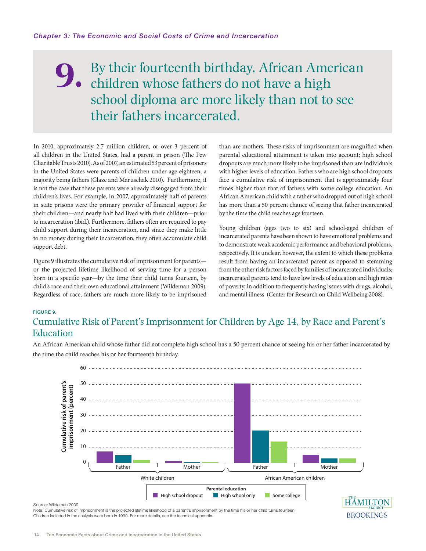# By their fourteenth birthday, African American children whose fathers do not have a high school diploma are more likely than not to see their fathers incarcerated. **9.**

In 2010, approximately 2.7 million children, or over 3 percent of all children in the United States, had a parent in prison (The Pew Charitable Trusts 2010). As of 2007, an estimated 53 percent of prisoners in the United States were parents of children under age eighteen, a majority being fathers (Glaze and Maruschak 2010). Furthermore, it is not the case that these parents were already disengaged from their children's lives. For example, in 2007, approximately half of parents in state prisons were the primary provider of financial support for their children—and nearly half had lived with their children—prior to incarceration (ibid.). Furthermore, fathers often are required to pay child support during their incarceration, and since they make little to no money during their incarceration, they often accumulate child support debt.

Figure 9 illustrates the cumulative risk of imprisonment for parents or the projected lifetime likelihood of serving time for a person born in a specific year—by the time their child turns fourteen, by child's race and their own educational attainment (Wildeman 2009). Regardless of race, fathers are much more likely to be imprisoned

than are mothers. These risks of imprisonment are magnified when parental educational attainment is taken into account; high school dropouts are much more likely to be imprisoned than are individuals with higher levels of education. Fathers who are high school dropouts face a cumulative risk of imprisonment that is approximately four times higher than that of fathers with some college education. An African American child with a father who dropped out of high school has more than a 50 percent chance of seeing that father incarcerated by the time the child reaches age fourteen.

Young children (ages two to six) and school-aged children of incarcerated parents have been shown to have emotional problems and to demonstrate weak academic performance and behavioral problems, respectively. It is unclear, however, the extent to which these problems result from having an incarcerated parent as opposed to stemming from the other risk factors faced by families of incarcerated individuals; incarcerated parents tend to have low levels of education and high rates of poverty, in addition to frequently having issues with drugs, alcohol, and mental illness (Center for Research on Child Wellbeing 2008).

#### FIGURE 9.

# Cumulative Risk of Parent's Imprisonment for Children by Age 14, by Race and Parent's **Education**

An African American child whose father did not complete high school has a 50 percent chance of seeing his or her father incarcerated by the time the child reaches his or her fourteenth birthday.



#### Source: Wildeman 2009.

Note: Cumulative risk of imprisonment is the projected lifetime likelihood of a parent's imprisonment by the time his or her child turns fourteen Children included in the analysis were born in 1990. For more details, see the technical appendix.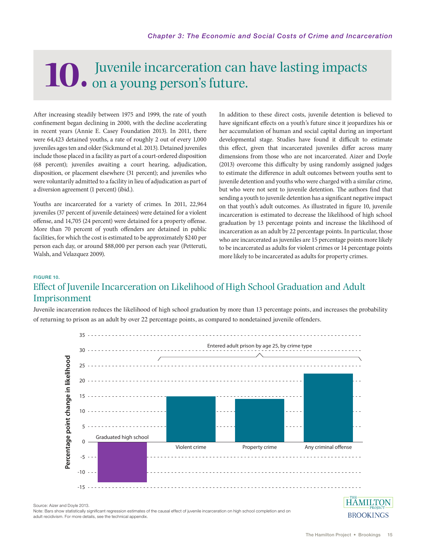# Juvenile incarceration can have lasting impacts **10.** on a young person's future.

After increasing steadily between 1975 and 1999, the rate of youth confinement began declining in 2000, with the decline accelerating in recent years (Annie E. Casey Foundation 2013). In 2011, there were 64,423 detained youths, a rate of roughly 2 out of every 1,000 juveniles ages ten and older (Sickmund et al. 2013). Detained juveniles include those placed in a facility as part of a court-ordered disposition (68 percent); juveniles awaiting a court hearing, adjudication, disposition, or placement elsewhere (31 percent); and juveniles who were voluntarily admitted to a facility in lieu of adjudication as part of a diversion agreement (1 percent) (ibid.).

Youths are incarcerated for a variety of crimes. In 2011, 22,964 juveniles (37 percent of juvenile detainees) were detained for a violent offense, and 14,705 (24 percent) were detained for a property offense. More than 70 percent of youth offenders are detained in public facilities, for which the cost is estimated to be approximately \$240 per person each day, or around \$88,000 per person each year (Petteruti, Walsh, and Velazquez 2009).

In addition to these direct costs, juvenile detention is believed to have significant effects on a youth's future since it jeopardizes his or her accumulation of human and social capital during an important developmental stage. Studies have found it difficult to estimate this effect, given that incarcerated juveniles differ across many dimensions from those who are not incarcerated. Aizer and Doyle (2013) overcome this difficulty by using randomly assigned judges to estimate the difference in adult outcomes between youths sent to juvenile detention and youths who were charged with a similar crime, but who were not sent to juvenile detention. The authors find that sending a youth to juvenile detention has a significant negative impact on that youth's adult outcomes. As illustrated in figure 10, juvenile incarceration is estimated to decrease the likelihood of high school graduation by 13 percentage points and increase the likelihood of incarceration as an adult by 22 percentage points. In particular, those who are incarcerated as juveniles are 15 percentage points more likely to be incarcerated as adults for violent crimes or 14 percentage points more likely to be incarcerated as adults for property crimes.

# FIGURE 10. Effect of Juvenile Incarceration on Likelihood of High School Graduation and Adult Imprisonment

Juvenile incarceration reduces the likelihood of high school graduation by more than 13 percentage points, and increases the probability of returning to prison as an adult by over 22 percentage points, as compared to nondetained juvenile offenders.



Source: Aizer and Doyle 2013.

Note: Bars show statistically significant regression estimates of the causal effect of juvenile incarceration on high school completion and on

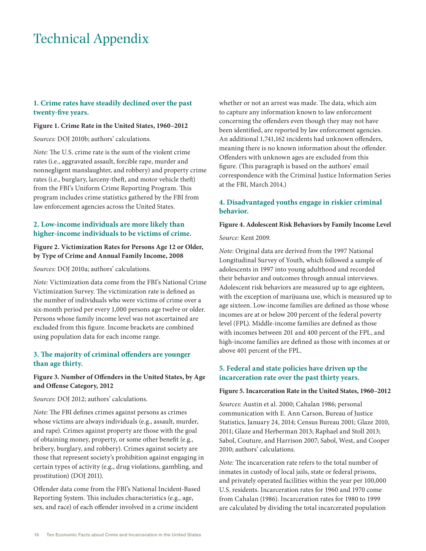# Technical Appendix

# **1. Crime rates have steadily declined over the past twenty-five years.**

### **Figure 1. Crime Rate in the United States, 1960–2012**

*Sources:* DOJ 2010b; authors' calculations.

*Note:* The U.S. crime rate is the sum of the violent crime rates (i.e., aggravated assault, forcible rape, murder and nonnegligent manslaughter, and robbery) and property crime rates (i.e., burglary, larceny-theft, and motor vehicle theft) from the FBI's Uniform Crime Reporting Program. This program includes crime statistics gathered by the FBI from law enforcement agencies across the United States.

## **2. Low-income individuals are more likely than higher-income individuals to be victims of crime.**

# **Figure 2. Victimization Rates for Persons Age 12 or Older, by Type of Crime and Annual Family Income, 2008**

*Sources:* DOJ 2010a; authors' calculations.

*Note:* Victimization data come from the FBI's National Crime Victimization Survey. The victimization rate is defined as the number of individuals who were victims of crime over a six-month period per every 1,000 persons age twelve or older. Persons whose family income level was not ascertained are excluded from this figure. Income brackets are combined using population data for each income range.

### **3. The majority of criminal offenders are younger than age thirty.**

### **Figure 3. Number of Offenders in the United States, by Age and Offense Category, 2012**

*Sources:* DOJ 2012; authors' calculations.

*Note:* The FBI defines crimes against persons as crimes whose victims are always individuals (e.g., assault, murder, and rape). Crimes against property are those with the goal of obtaining money, property, or some other benefit (e.g., bribery, burglary, and robbery). Crimes against society are those that represent society's prohibition against engaging in certain types of activity (e.g., drug violations, gambling, and prostitution) (DOJ 2011).

Offender data come from the FBI's National Incident-Based Reporting System. This includes characteristics (e.g., age, sex, and race) of each offender involved in a crime incident

whether or not an arrest was made. The data, which aim to capture any information known to law enforcement concerning the offenders even though they may not have been identified, are reported by law enforcement agencies. An additional 1,741,162 incidents had unknown offenders, meaning there is no known information about the offender. Offenders with unknown ages are excluded from this figure. (This paragraph is based on the authors' email correspondence with the Criminal Justice Information Series at the FBI, March 2014.)

# **4. Disadvantaged youths engage in riskier criminal behavior.**

#### **Figure 4. Adolescent Risk Behaviors by Family Income Level**

*Source:* Kent 2009.

*Note:* Original data are derived from the 1997 National Longitudinal Survey of Youth, which followed a sample of adolescents in 1997 into young adulthood and recorded their behavior and outcomes through annual interviews. Adolescent risk behaviors are measured up to age eighteen, with the exception of marijuana use, which is measured up to age sixteen. Low-income families are defined as those whose incomes are at or below 200 percent of the federal poverty level (FPL). Middle-income families are defined as those with incomes between 201 and 400 percent of the FPL, and high-income families are defined as those with incomes at or above 401 percent of the FPL.

# **5. Federal and state policies have driven up the incarceration rate over the past thirty years.**

#### **Figure 5. Incarceration Rate in the United States, 1960–2012**

*Sources:* Austin et al. 2000; Cahalan 1986; personal communication with E. Ann Carson, Bureau of Justice Statistics, January 24, 2014; Census Bureau 2001; Glaze 2010, 2011; Glaze and Herberman 2013; Raphael and Stoll 2013; Sabol, Couture, and Harrison 2007; Sabol, West, and Cooper 2010; authors' calculations.

*Note:* The incarceration rate refers to the total number of inmates in custody of local jails, state or federal prisons, and privately operated facilities within the year per 100,000 U.S. residents. Incarceration rates for 1960 and 1970 come from Cahalan (1986). Incarceration rates for 1980 to 1999 are calculated by dividing the total incarcerated population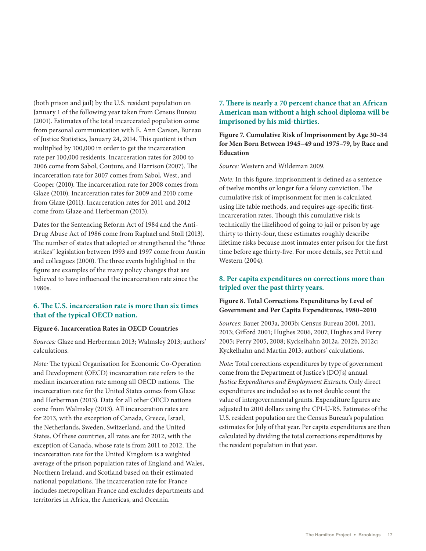(both prison and jail) by the U.S. resident population on January 1 of the following year taken from Census Bureau (2001). Estimates of the total incarcerated population come from personal communication with E. Ann Carson, Bureau of Justice Statistics, January 24, 2014. This quotient is then multiplied by 100,000 in order to get the incarceration rate per 100,000 residents. Incarceration rates for 2000 to 2006 come from Sabol, Couture, and Harrison (2007). The incarceration rate for 2007 comes from Sabol, West, and Cooper (2010). The incarceration rate for 2008 comes from Glaze (2010). Incarceration rates for 2009 and 2010 come from Glaze (2011). Incarceration rates for 2011 and 2012 come from Glaze and Herberman (2013).

Dates for the Sentencing Reform Act of 1984 and the Anti-Drug Abuse Act of 1986 come from Raphael and Stoll (2013). The number of states that adopted or strengthened the "three strikes" legislation between 1993 and 1997 come from Austin and colleagues (2000). The three events highlighted in the figure are examples of the many policy changes that are believed to have influenced the incarceration rate since the 1980s.

### **6. The U.S. incarceration rate is more than six times that of the typical OECD nation.**

#### **Figure 6. Incarceration Rates in OECD Countries**

*Sources:* Glaze and Herberman 2013; Walmsley 2013; authors' calculations.

*Note:* The typical Organisation for Economic Co-Operation and Development (OECD) incarceration rate refers to the median incarceration rate among all OECD nations. The incarceration rate for the United States comes from Glaze and Herberman (2013). Data for all other OECD nations come from Walmsley (2013). All incarceration rates are for 2013, with the exception of Canada, Greece, Israel, the Netherlands, Sweden, Switzerland, and the United States. Of these countries, all rates are for 2012, with the exception of Canada, whose rate is from 2011 to 2012. The incarceration rate for the United Kingdom is a weighted average of the prison population rates of England and Wales, Northern Ireland, and Scotland based on their estimated national populations. The incarceration rate for France includes metropolitan France and excludes departments and territories in Africa, the Americas, and Oceania.

# **7. There is nearly a 70 percent chance that an African American man without a high school diploma will be imprisoned by his mid-thirties.**

**Figure 7. Cumulative Risk of Imprisonment by Age 30–34 for Men Born Between 1945–49 and 1975–79, by Race and Education**

*Source:* Western and Wildeman 2009.

*Note:* In this figure, imprisonment is defined as a sentence of twelve months or longer for a felony conviction. The cumulative risk of imprisonment for men is calculated using life table methods, and requires age-specific firstincarceration rates. Though this cumulative risk is technically the likelihood of going to jail or prison by age thirty to thirty-four, these estimates roughly describe lifetime risks because most inmates enter prison for the first time before age thirty-five. For more details, see Pettit and Western (2004).

# **8. Per capita expenditures on corrections more than tripled over the past thirty years.**

# **Figure 8. Total Corrections Expenditures by Level of Government and Per Capita Expenditures, 1980–2010**

*Sources:* Bauer 2003a, 2003b; Census Bureau 2001, 2011, 2013; Gifford 2001; Hughes 2006, 2007; Hughes and Perry 2005; Perry 2005, 2008; Kyckelhahn 2012a, 2012b, 2012c; Kyckelhahn and Martin 2013; authors' calculations.

*Note:* Total corrections expenditures by type of government come from the Department of Justice's (DOJ's) annual *Justice Expenditures and Employment Extracts*. Only direct expenditures are included so as to not double count the value of intergovernmental grants. Expenditure figures are adjusted to 2010 dollars using the CPI-U-RS. Estimates of the U.S. resident population are the Census Bureau's population estimates for July of that year. Per capita expenditures are then calculated by dividing the total corrections expenditures by the resident population in that year.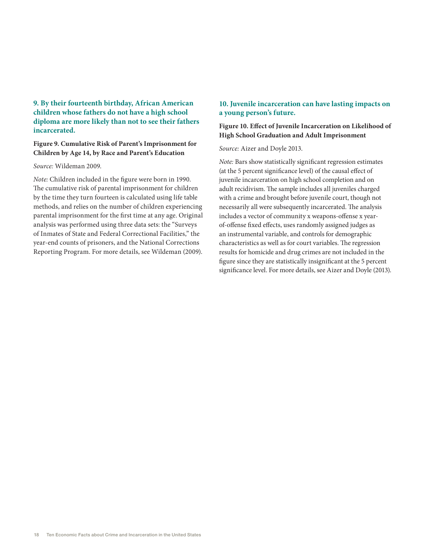**9. By their fourteenth birthday, African American children whose fathers do not have a high school diploma are more likely than not to see their fathers incarcerated.**

### **Figure 9. Cumulative Risk of Parent's Imprisonment for Children by Age 14, by Race and Parent's Education**

#### *Source:* Wildeman 2009.

*Note:* Children included in the figure were born in 1990. The cumulative risk of parental imprisonment for children by the time they turn fourteen is calculated using life table methods, and relies on the number of children experiencing parental imprisonment for the first time at any age. Original analysis was performed using three data sets: the "Surveys of Inmates of State and Federal Correctional Facilities," the year-end counts of prisoners, and the National Corrections Reporting Program. For more details, see Wildeman (2009).

# **10. Juvenile incarceration can have lasting impacts on a young person's future.**

# **Figure 10. Effect of Juvenile Incarceration on Likelihood of High School Graduation and Adult Imprisonment**

#### *Source:* Aizer and Doyle 2013.

*Note:* Bars show statistically significant regression estimates (at the 5 percent significance level) of the causal effect of juvenile incarceration on high school completion and on adult recidivism. The sample includes all juveniles charged with a crime and brought before juvenile court, though not necessarily all were subsequently incarcerated. The analysis includes a vector of community x weapons-offense x yearof-offense fixed effects, uses randomly assigned judges as an instrumental variable, and controls for demographic characteristics as well as for court variables. The regression results for homicide and drug crimes are not included in the figure since they are statistically insignificant at the 5 percent significance level. For more details, see Aizer and Doyle (2013).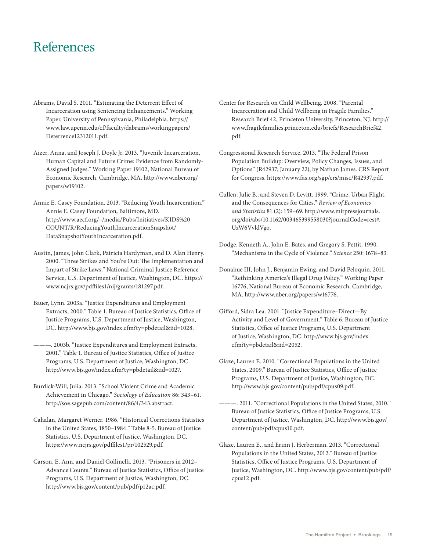# References

- Abrams, David S. 2011. "Estimating the Deterrent Effect of Incarceration using Sentencing Enhancements." Working Paper, University of Pennsylvania, Philadelphia. https:// www.law.upenn.edu/cf/faculty/dabrams/workingpapers/ Deterrence12312011.pdf.
- Aizer, Anna, and Joseph J. Doyle Jr. 2013. "Juvenile Incarceration, Human Capital and Future Crime: Evidence from Randomly-Assigned Judges." Working Paper 19102, National Bureau of Economic Research, Cambridge, MA. http://www.nber.org/ papers/w19102.
- Annie E. Casey Foundation. 2013. "Reducing Youth Incarceration." Annie E. Casey Foundation, Baltimore, MD. http://www.aecf.org/~/media/Pubs/Initiatives/KIDS%20 COUNT/R/ReducingYouthIncarcerationSnapshot/ DataSnapshotYouthIncarceration.pdf.
- Austin, James, John Clark, Patricia Hardyman, and D. Alan Henry. 2000. "Three Strikes and You're Out: The Implementation and Impart of Strike Laws." National Criminal Justice Reference Service, U.S. Department of Justice, Washington, DC. https:// www.ncjrs.gov/pdffiles1/nij/grants/181297.pdf.
- Bauer, Lynn. 2003a. "Justice Expenditures and Employment Extracts, 2000." Table 1. Bureau of Justice Statistics, Office of Justice Programs, U.S. Department of Justice, Washington, DC. http://www.bjs.gov/index.cfm?ty=pbdetail&iid=1028.
- ———. 2003b. "Justice Expenditures and Employment Extracts, 2001." Table 1. Bureau of Justice Statistics, Office of Justice Programs, U.S. Department of Justice, Washington, DC. http://www.bjs.gov/index.cfm?ty=pbdetail&iid=1027.
- Burdick-Will, Julia. 2013. "School Violent Crime and Academic Achievement in Chicago." *Sociology of Education* 86: 343–61. http://soe.sagepub.com/content/86/4/343.abstract.
- Cahalan, Margaret Werner. 1986. "Historical Corrections Statistics in the United States, 1850–1984." Table 8-5. Bureau of Justice Statistics, U.S. Department of Justice, Washington, DC. https://www.ncjrs.gov/pdffiles1/pr/102529.pdf.
- Carson, E. Ann, and Daniel Gollinelli. 2013. "Prisoners in 2012– Advance Counts." Bureau of Justice Statistics, Office of Justice Programs, U.S. Department of Justice, Washington, DC. http://www.bjs.gov/content/pub/pdf/p12ac.pdf.
- Center for Research on Child Wellbeing. 2008. "Parental Incarceration and Child Wellbeing in Fragile Families." Research Brief 42, Princeton University, Princeton, NJ. http:// www.fragilefamilies.princeton.edu/briefs/ResearchBrief42. pdf.
- Congressional Research Service. 2013. "The Federal Prison Population Buildup: Overview, Policy Changes, Issues, and Options" (R42937; January 22), by Nathan James. CRS Report for Congress. https://www.fas.org/sgp/crs/misc/R42937.pdf.
- Cullen, Julie B., and Steven D. Levitt. 1999. "Crime, Urban Flight, and the Consequences for Cities." *Review of Economics and Statistics* 81 (2): 159–69. http://www.mitpressjournals. org/doi/abs/10.1162/003465399558030?journalCode=rest#. UzW6VvldVgo.
- Dodge, Kenneth A., John E. Bates, and Gregory S. Pettit. 1990. "Mechanisms in the Cycle of Violence." *Science* 250: 1678–83.
- Donahue III, John J., Benjamin Ewing, and David Peloquin. 2011. "Rethinking America's Illegal Drug Policy." Working Paper 16776, National Bureau of Economic Research, Cambridge, MA. http://www.nber.org/papers/w16776.
- Gifford, Sidra Lea. 2001. "Justice Expenditure–Direct—By Activity and Level of Government." Table 6. Bureau of Justice Statistics, Office of Justice Programs, U.S. Department of Justice, Washington, DC. http://www.bjs.gov/index. cfm?ty=pbdetail&iid=2052.
- Glaze, Lauren E. 2010. "Correctional Populations in the United States, 2009." Bureau of Justice Statistics, Office of Justice Programs, U.S. Department of Justice, Washington, DC. http://www.bjs.gov/content/pub/pdf/cpus09.pdf.
- ———. 2011. "Correctional Populations in the United States, 2010." Bureau of Justice Statistics, Office of Justice Programs, U.S. Department of Justice, Washington, DC. http://www.bjs.gov/ content/pub/pdf/cpus10.pdf.
- Glaze, Lauren E., and Erinn J. Herberman. 2013. "Correctional Populations in the United States, 2012." Bureau of Justice Statistics, Office of Justice Programs, U.S. Department of Justice, Washington, DC. http://www.bjs.gov/content/pub/pdf/ cpus12.pdf.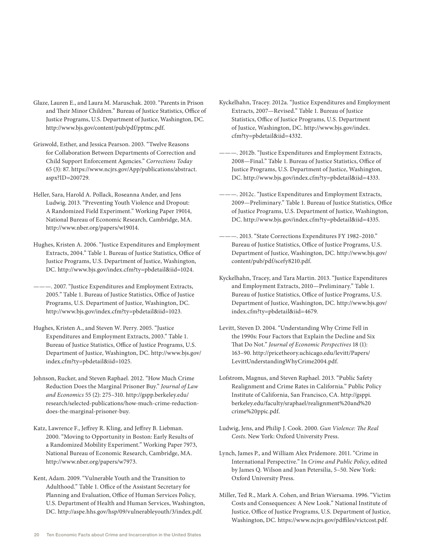- Glaze, Lauren E., and Laura M. Maruschak. 2010. "Parents in Prison and Their Minor Children." Bureau of Justice Statistics, Office of Justice Programs, U.S. Department of Justice, Washington, DC. http://www.bjs.gov/content/pub/pdf/pptmc.pdf.
- Griswold, Esther, and Jessica Pearson. 2003. "Twelve Reasons for Collaboration Between Departments of Correction and Child Support Enforcement Agencies." *Corrections Today*  65 (3): 87. https://www.ncjrs.gov/App/publications/abstract. aspx?ID=200729.
- Heller, Sara, Harold A. Pollack, Roseanna Ander, and Jens Ludwig. 2013. "Preventing Youth Violence and Dropout: A Randomized Field Experiment." Working Paper 19014, National Bureau of Economic Research, Cambridge, MA. http://www.nber.org/papers/w19014.
- Hughes, Kristen A. 2006. "Justice Expenditures and Employment Extracts, 2004." Table 1. Bureau of Justice Statistics, Office of Justice Programs, U.S. Department of Justice, Washington, DC. http://www.bjs.gov/index.cfm?ty=pbdetail&iid=1024.
- ———. 2007. "Justice Expenditures and Employment Extracts, 2005." Table 1. Bureau of Justice Statistics, Office of Justice Programs, U.S. Department of Justice, Washington, DC. http://www.bjs.gov/index.cfm?ty=pbdetail&iid=1023.
- Hughes, Kristen A., and Steven W. Perry. 2005. "Justice Expenditures and Employment Extracts, 2003." Table 1. Bureau of Justice Statistics, Office of Justice Programs, U.S. Department of Justice, Washington, DC. http://www.bjs.gov/ index.cfm?ty=pbdetail&iid=1025.
- Johnson, Rucker, and Steven Raphael. 2012. "How Much Crime Reduction Does the Marginal Prisoner Buy." *Journal of Law and Economics* 55 (2): 275–310. http://gspp.berkeley.edu/ research/selected-publications/how-much-crime-reductiondoes-the-marginal-prisoner-buy.
- Katz, Lawrence F., Jeffrey R. Kling, and Jeffrey B. Liebman. 2000. "Moving to Opportunity in Boston: Early Results of a Randomized Mobility Experiment." Working Paper 7973, National Bureau of Economic Research, Cambridge, MA. http://www.nber.org/papers/w7973.
- Kent, Adam. 2009. "Vulnerable Youth and the Transition to Adulthood." Table 1. Office of the Assistant Secretary for Planning and Evaluation, Office of Human Services Policy, U.S. Department of Health and Human Services, Washington, DC. http://aspe.hhs.gov/hsp/09/vulnerableyouth/3/index.pdf.
- Kyckelhahn, Tracey. 2012a. "Justice Expenditures and Employment Extracts, 2007—Revised." Table 1. Bureau of Justice Statistics, Office of Justice Programs, U.S. Department of Justice, Washington, DC. http://www.bjs.gov/index. cfm?ty=pbdetail&iid=4332.
- ———. 2012b. "Justice Expenditures and Employment Extracts, 2008—Final." Table 1. Bureau of Justice Statistics, Office of Justice Programs, U.S. Department of Justice, Washington, DC. http://www.bjs.gov/index.cfm?ty=pbdetail&iid=4333.
- ———. 2012c. "Justice Expenditures and Employment Extracts, 2009—Preliminary." Table 1. Bureau of Justice Statistics, Office of Justice Programs, U.S. Department of Justice, Washington, DC. http://www.bjs.gov/index.cfm?ty=pbdetail&iid=4335.
- ———. 2013. "State Corrections Expenditures FY 1982–2010." Bureau of Justice Statistics, Office of Justice Programs, U.S. Department of Justice, Washington, DC. http://www.bjs.gov/ content/pub/pdf/scefy8210.pdf.
- Kyckelhahn, Tracey, and Tara Martin. 2013. "Justice Expenditures and Employment Extracts, 2010—Preliminary." Table 1. Bureau of Justice Statistics, Office of Justice Programs, U.S. Department of Justice, Washington, DC. http://www.bjs.gov/ index.cfm?ty=pbdetail&iid=4679.
- Levitt, Steven D. 2004. "Understanding Why Crime Fell in the 1990s: Four Factors that Explain the Decline and Six That Do Not." *Journal of Economic Perspectives* 18 (1): 163–90. http://pricetheory.uchicago.edu/levitt/Papers/ LevittUnderstandingWhyCrime2004.pdf.
- Lofstrom, Magnus, and Steven Raphael. 2013. "Public Safety Realignment and Crime Rates in California." Public Policy Institute of California, San Francisco, CA. http://gsppi. berkeley.edu/faculty/sraphael/realignment%20and%20 crime%20ppic.pdf.
- Ludwig, Jens, and Philip J. Cook. 2000. *Gun Violence: The Real Costs*. New York: Oxford University Press.
- Lynch, James P., and William Alex Pridemore. 2011. "Crime in International Perspective." In *Crime and Public Policy*, edited by James Q. Wilson and Joan Petersilia, 5–50. New York: Oxford University Press.
- Miller, Ted R., Mark A. Cohen, and Brian Wiersama. 1996. "Victim Costs and Consequences: A New Look." National Institute of Justice, Office of Justice Programs, U.S. Department of Justice, Washington, DC. https://www.ncjrs.gov/pdffiles/victcost.pdf.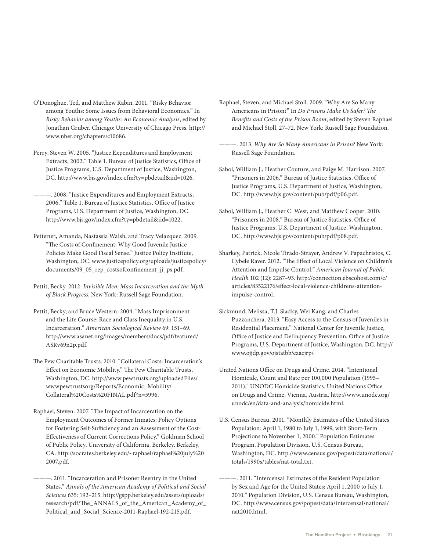- O'Donoghue, Ted, and Matthew Rabin. 2001. "Risky Behavior among Youths: Some Issues from Behavioral Economics." In *Risky Behavior among Youths: An Economic Analysis*, edited by Jonathan Gruber. Chicago: University of Chicago Press. http:// www.nber.org/chapters/c10686.
- Perry, Steven W. 2005. "Justice Expenditures and Employment Extracts, 2002." Table 1. Bureau of Justice Statistics, Office of Justice Programs, U.S. Department of Justice, Washington, DC. http://www.bjs.gov/index.cfm?ty=pbdetail&iid=1026.
- ———. 2008. "Justice Expenditures and Employment Extracts, 2006." Table 1. Bureau of Justice Statistics, Office of Justice Programs, U.S. Department of Justice, Washington, DC. http://www.bjs.gov/index.cfm?ty=pbdetail&iid=1022.
- Petteruti, Amanda, Nastassia Walsh, and Tracy Velazquez. 2009. "The Costs of Confinement: Why Good Juvenile Justice Policies Make Good Fiscal Sense." Justice Policy Institute, Washington, DC. www.justicepolicy.org/uploads/justicepolicy/ documents/09\_05\_rep\_costsofconfinement\_jj\_ps.pdf.
- Pettit, Becky. 2012. *Invisible Men: Mass Incarceration and the Myth of Black Progress*. New York: Russell Sage Foundation.
- Pettit, Becky, and Bruce Western. 2004. "Mass Imprisonment and the Life Course: Race and Class Inequality in U.S. Incarceration." *American Sociological Review* 69: 151–69. http://www.asanet.org/images/members/docs/pdf/featured/ ASRv69n2p.pdf.
- The Pew Charitable Trusts. 2010. "Collateral Costs: Incarceration's Effect on Economic Mobility." The Pew Charitable Trusts, Washington, DC. http://www.pewtrusts.org/uploadedFiles/ wwwpewtrustsorg/Reports/Economic\_Mobility/ Collateral%20Costs%20FINAL.pdf?n=5996.
- Raphael, Steven. 2007. "The Impact of Incarceration on the Employment Outcomes of Former Inmates: Policy Options for Fostering Self-Sufficiency and an Assessment of the Cost-Effectiveness of Current Corrections Policy." Goldman School of Public Policy, University of California, Berkeley, Berkeley, CA. http://socrates.berkeley.edu/~raphael/raphael%20july%20 2007.pdf.
- ———. 2011. "Incarceration and Prisoner Reentry in the United States." *Annals of the American Academy of Political and Social Sciences* 635: 192–215. http://gspp.berkeley.edu/assets/uploads/ research/pdf/The\_ANNALS\_of\_the\_American\_Academy\_of\_ Political\_and\_Social\_Science-2011-Raphael-192-215.pdf.

Raphael, Steven, and Michael Stoll. 2009. "Why Are So Many Americans in Prison?" In *Do Prisons Make Us Safer? The Benefits and Costs of the Prison Boom*, edited by Steven Raphael and Michael Stoll, 27–72. New York: Russell Sage Foundation.

- ———. 2013. *Why Are So Many Americans in Prison?* New York: Russell Sage Foundation.
- Sabol, William J., Heather Couture, and Paige M. Harrison. 2007. "Prisoners in 2006." Bureau of Justice Statistics, Office of Justice Programs, U.S. Department of Justice, Washington, DC. http://www.bjs.gov/content/pub/pdf/p06.pdf.
- Sabol, William J., Heather C. West, and Matthew Cooper. 2010. "Prisoners in 2008." Bureau of Justice Statistics, Office of Justice Programs, U.S. Department of Justice, Washington, DC. http://www.bjs.gov/content/pub/pdf/p08.pdf.
- Sharkey, Patrick, Nicole Tirado-Strayer, Andrew V. Papachristos, C. Cybele Raver. 2012. "The Effect of Local Violence on Children's Attention and Impulse Control." *American Journal of Public Health* 102 (12): 2287–93. http://connection.ebscohost.com/c/ articles/83522176/effect-local-violence-childrens-attentionimpulse-control.
- Sickmund, Melissa, T.J. Sladky, Wei Kang, and Charles Puzzanchera. 2013. "Easy Access to the Census of Juveniles in Residential Placement." National Center for Juvenile Justice, Office of Justice and Delinquency Prevention, Office of Justice Programs, U.S. Department of Justice, Washington, DC. http:// www.ojjdp.gov/ojstatbb/ezacjrp/.
- United Nations Office on Drugs and Crime. 2014. "Intentional Homicide, Count and Rate per 100,000 Population (1995– 2011)." UNODC Homicide Statistics. United Nations Office on Drugs and Crime, Vienna, Austria. http://www.unodc.org/ unodc/en/data-and-analysis/homicide.html.
- U.S. Census Bureau. 2001. "Monthly Estimates of the United States Population: April 1, 1980 to July 1, 1999, with Short-Term Projections to November 1, 2000." Population Estimates Program, Population Division, U.S. Census Bureau, Washington, DC. http://www.census.gov/popest/data/national/ totals/1990s/tables/nat-total.txt.
- -- 2011. "Intercensal Estimates of the Resident Population by Sex and Age for the United States: April 1, 2000 to July 1, 2010." Population Division, U.S. Census Bureau, Washington, DC. http://www.census.gov/popest/data/intercensal/national/ nat2010.html.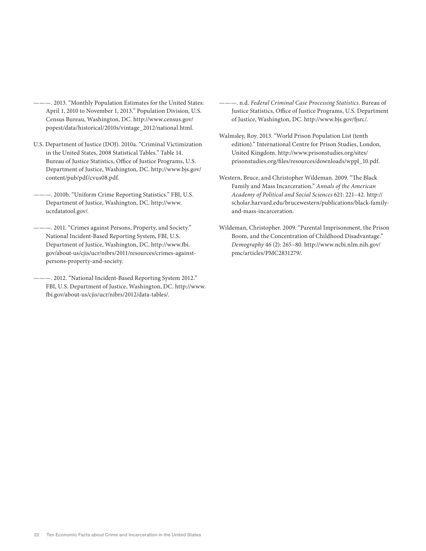- ———. 2013. "Monthly Population Estimates for the United States: April 1, 2010 to November 1, 2013." Population Division, U.S. Census Bureau, Washington, DC. http://www.census.gov/ popest/data/historical/2010s/vintage\_2012/national.html.
- U.S. Department of Justice (DOJ). 2010a. "Criminal Victimization in the United States, 2008 Statistical Tables." Table 14. Bureau of Justice Statistics, Office of Justice Programs, U.S. Department of Justice, Washington, DC. http://www.bjs.gov/ content/pub/pdf/cvus08.pdf.
- ———. 2010b. "Uniform Crime Reporting Statistics." FBI, U.S. Department of Justice, Washington, DC. http://www. ucrdatatool.gov/.
- ———. 2011. "Crimes against Persons, Property, and Society." National Incident-Based Reporting System, FBI, U.S. Department of Justice, Washington, DC. http://www.fbi. gov/about-us/cjis/ucr/nibrs/2011/resources/crimes-againstpersons-property-and-society.
- ———. 2012. "National Incident-Based Reporting System 2012." FBI, U.S. Department of Justice, Washington, DC. http://www. fbi.gov/about-us/cjis/ucr/nibrs/2012/data-tables/.
- ———. n.d. *Federal Criminal Case Processing Statistics*. Bureau of Justice Statistics, Office of Justice Programs, U.S. Department of Justice, Washington, DC. http://www.bjs.gov/fjsrc/.
- Walmsley, Roy. 2013. "World Prison Population List (tenth edition)." International Centre for Prison Studies, London, United Kingdom. http://www.prisonstudies.org/sites/ prisonstudies.org/files/resources/downloads/wppl\_10.pdf.
- Western, Bruce, and Christopher Wildeman. 2009. "The Black Family and Mass Incarceration." *Annals of the American Academy of Political and Social Sciences* 621: 221–42. http:// scholar.harvard.edu/brucewestern/publications/black-familyand-mass-incarceration.
- Wildeman, Christopher. 2009. "Parental Imprisonment, the Prison Boom, and the Concentration of Childhood Disadvantage." *Demography* 46 (2): 265–80. http://www.ncbi.nlm.nih.gov/ pmc/articles/PMC2831279/.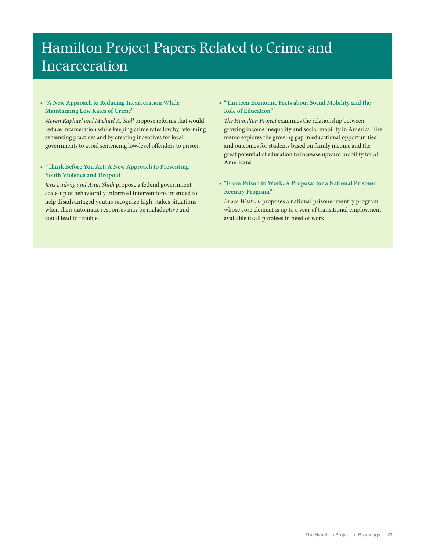# Hamilton Project Papers Related to Crime and Incarceration

### **• "A New Approach to Reducing Incarceration While Maintaining Low Rates of Crime"**

*Steven Raphael and Michael A. Stoll* propose reforms that would reduce incarceration while keeping crime rates low by reforming sentencing practices and by creating incentives for local governments to avoid sentencing low-level offenders to prison.

### **• "Think Before You Act: A New Approach to Preventing Youth Violence and Dropout"**

*Jens Ludwig and Anuj Shah* propose a federal government scale-up of behaviorally informed interventions intended to help disadvantaged youths recognize high-stakes situations when their automatic responses may be maladaptive and could lead to trouble.

### **• "Thirteen Economic Facts about Social Mobility and the Role of Education"**

*The Hamilton Project* examines the relationship between growing income inequality and social mobility in America. The memo explores the growing gap in educational opportunities and outcomes for students based on family income and the great potential of education to increase upward mobility for all Americans.

### **• "From Prison to Work: A Proposal for a National Prisoner Reentry Program"**

*Bruce Western* proposes a national prisoner reentry program whose core element is up to a year of transitional employment available to all parolees in need of work.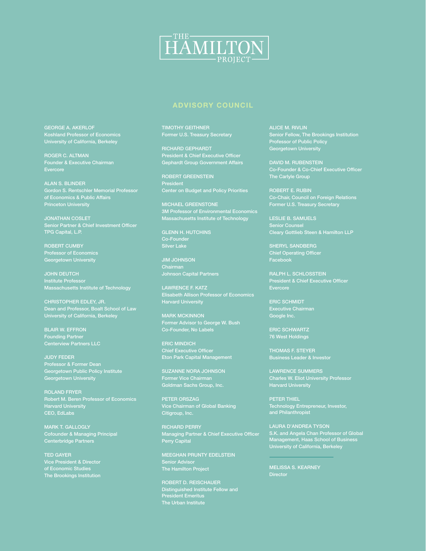

# **ADVISORY COUNCIL**

GEORGE A. AKERLOF Koshland Professor of Economics University of California, Berkeley

ROGER C. ALTMAN

ALAN S. BLINDER Gordon S. Rentschler Memorial Professor of Economics & Public Affairs Princeton University

JONATHAN COSLET TPG Capital, L.P.

ROBERT CUMBY Professor of Economics Georgetown University

JOHN DEUTCH Institute Professor Massachusetts Institute of Technology

CHRISTOPHER EDLEY, JR. Dean and Professor, Boalt School of Law University of California, Berkeley

BLAIR W. EFFRON Founding Partner Centerview Partners LLC

JUDY FEDER Professor & Former Dean Georgetown Public Policy Institute Georgetown University

ROLAND FRYER **Harvard University** CEO, EdLabs

Cofounder & Managing Principal Centerbridge Partners

TED GAYER Vice President & Director of Economic Studies The Brookings Institution TIMOTHY GEITHNER

RICHARD GEPHARDT President & Chief Executive Officer Gephardt Group Government Affairs

ROBERT GREENSTEIN President Center on Budget and Policy Priorities

MICHAEL GREENSTONE Massachusetts Institute of Technology

GLENN H. HUTCHINS Co-Founder Silver Lake

JIM JOHNSON Chairman Johnson Capital Partners

MARK MCKINNON Former Advisor to George W. Bush Co-Founder, No Labels

ERIC MINDICH Eton Park Capital Management

SUZANNE NORA JOHNSON Former Vice Chairman Goldman Sachs Group, Inc.

PETER ORSZAG Vice Chairman of Global Banking Citigroup, Inc.

RICHARD PERRY Managing Partner & Chief Executive Officer Perry Capital

MEEGHAN PRUNTY EDELSTEIN Senior Advisor The Hamilton Project

ROBERT D. REISCHAUER Distinguished Institute Fellow and President Emeritus The Urban Institute

ALICE M. RIVLIN Senior Fellow, The Brookings Institution Professor of Public Policy Georgetown University

Co-Founder & Co-Chief Executive Officer The Carlyle Group

ROBERT E. RUBIN Co-Chair, Council on Foreign Relations

LESLIE B. SAMUELS Cleary Gottlieb Steen & Hamilton LLP

SHERYL SANDBERG Chief Operating Officer Facebook

RALPH L. SCHLOSSTEIN President & Chief Executive Officer

Executive Chairman Google Inc.

ERIC SCHWARTZ 76 West Holdings

THOMAS F. STEYER Business Leader & Investor

LAWRENCE SUMMERS Charles W. Eliot University Professor Harvard University

PETER THIEL Technology Entrepreneur, Investor, and Philanthropist

LAURA D'ANDREA TYSON S.K. and Angela Chan Professor of Global Management, Haas School of Business University of California, Berkeley

MELISSA S. KEARNEY **Director**